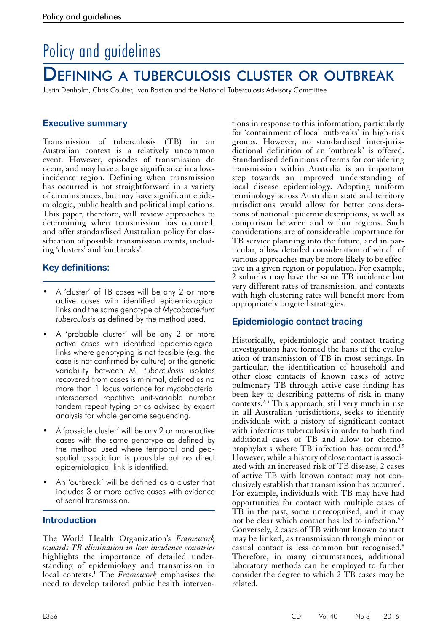# Policy and guidelines

## Defining a tuberculosis cluster or outbreak

Justin Denholm, Chris Coulter, Ivan Bastian and the National Tuberculosis Advisory Committee

## **Executive summary**

Transmission of tuberculosis (TB) in an Australian context is a relatively uncommon event. However, episodes of transmission do occur, and may have a large significance in a lowincidence region. Defining when transmission has occurred is not straightforward in a variety of circumstances, but may have significant epidemiologic, public health and political implications. This paper, therefore, will review approaches to determining when transmission has occurred, and offer standardised Australian policy for classification of possible transmission events, including 'clusters' and 'outbreaks'.

## **Key definitions:**

- A 'cluster' of TB cases will be any 2 or more active cases with identified epidemiological links and the same genotype of *Mycobacterium tuberculosis* as defined by the method used.
- A 'probable cluster' will be any 2 or more active cases with identified epidemiological links where genotyping is not feasible (e.g. the case is not confirmed by culture) or the genetic variability between *M. tuberculosis* isolates recovered from cases is minimal, defined as no more than 1 locus variance for mycobacterial interspersed repetitive unit-variable number tandem repeat typing or as advised by expert analysis for whole genome sequencing.
- A 'possible cluster' will be any 2 or more active cases with the same genotype as defined by the method used where temporal and geospatial association is plausible but no direct epidemiological link is identified.
- An 'outbreak' will be defined as a cluster that includes 3 or more active cases with evidence of serial transmission.

## **Introduction**

The World Health Organization's *Framework towards TB elimination in low incidence countries* highlights the importance of detailed understanding of epidemiology and transmission in local contexts.<sup>1</sup> The *Framework* emphasises the need to develop tailored public health interven-

tions in response to this information, particularly for 'containment of local outbreaks' in high-risk groups. However, no standardised inter-jurisdictional definition of an 'outbreak' is offered. Standardised definitions of terms for considering transmission within Australia is an important step towards an improved understanding of local disease epidemiology. Adopting uniform terminology across Australian state and territory jurisdictions would allow for better considerations of national epidemic descriptions, as well as comparison between and within regions. Such considerations are of considerable importance for TB service planning into the future, and in particular, allow detailed consideration of which of various approaches may be more likely to be effective in a given region or population. For example, 2 suburbs may have the same TB incidence but very different rates of transmission, and contexts with high clustering rates will benefit more from appropriately targeted strategies.

## **Epidemiologic contact tracing**

Historically, epidemiologic and contact tracing investigations have formed the basis of the evalu- ation of transmission of TB in most settings. In particular, the identification of household and other close contacts of known cases of active pulmonary TB through active case finding has been key to describing patterns of risk in many contexts.<sup>2,3</sup> This approach, still very much in use in all Australian jurisdictions, seeks to identify individuals with a history of significant contact with infectious tuberculosis in order to both find additional cases of TB and allow for chemoprophylaxis where TB infection has occurred.4,5 However, while a history of close contact is associated with an increased risk of TB disease, 2 cases of active TB with known contact may not conclusively establish that transmission has occurred. For example, individuals with TB may have had opportunities for contact with multiple cases of TB in the past, some unrecognised, and it may not be clear which contact has led to infection.<sup>6,7</sup> Conversely, 2 cases of TB without known contact may be linked, as transmission through minor or casual contact is less common but recognised.8 Therefore, in many circumstances, additional laboratory methods can be employed to further consider the degree to which 2 TB cases may be related.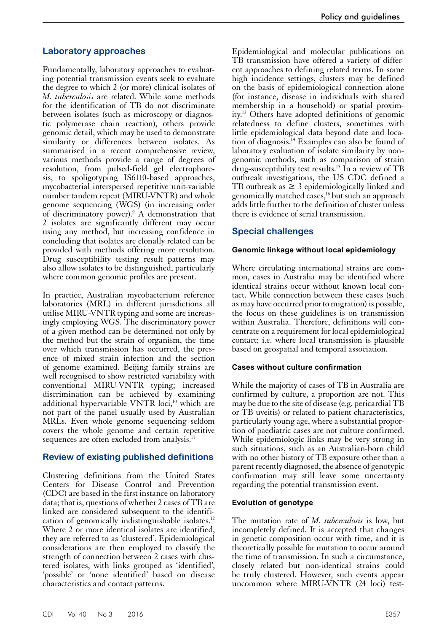#### **Laboratory approaches**

Fundamentally, laboratory approaches to evaluating potential transmission events seek to evaluate the degree to which 2 (or more) clinical isolates of *M. tuberculosis* are related. While some methods for the identification of TB do not discriminate between isolates (such as microscopy or diagnostic polymerase chain reaction), others provide genomic detail, which may be used to demonstrate similarity or differences between isolates. As summarised in a recent comprehensive review, various methods provide a range of degrees of resolution, from pulsed-field gel electrophoresis, to spoligotyping IS6110-based approaches, mycobacterial interspersed repetitive unit-variable number tandem repeat (MIRU-VNTR) and whole genome sequencing (WGS) (in increasing order of discriminatory power).<sup>9</sup> A demonstration that 2 isolates are significantly different may occur using any method, but increasing confidence in concluding that isolates are clonally related can be provided with methods offering more resolution. Drug susceptibility testing result patterns may also allow isolates to be distinguished, particularly where common genomic profiles are present.

In practice, Australian mycobacterium reference laboratories (MRL) in different jurisdictions all utilise MIRU-VNTR typing and some are increasingly employing WGS. The discriminatory power of a given method can be determined not only by the method but the strain of organism, the time over which transmission has occurred, the pres- ence of mixed strain infection and the section of genome examined. Beijing family strains are well recognised to show restricted variability with conventional MIRU-VNTR typing; increased discrimination can be achieved by examining additional hypervariable VNTR loci, $10$  which are not part of the panel usually used by Australian MRLs. Even whole genome sequencing seldom covers the whole genome and certain repetitive sequences are often excluded from analysis.<sup>11</sup>

## **Review of existing published definitions**

Clustering definitions from the United States Centers for Disease Control and Prevention (CDC) are based in the first instance on laboratory data; that is, questions of whether 2 cases of TB are linked are considered subsequent to the identification of genomically indistinguishable isolates.<sup>12</sup> Where 2 or more identical isolates are identified, they are referred to as 'clustered'. Epidemiological considerations are then employed to classify the strength of connection between 2 cases with clustered isolates, with links grouped as 'identified', 'possible' or 'none identified' based on disease characteristics and contact patterns.

Epidemiological and molecular publications on TB transmission have offered a variety of different approaches to defining related terms. In some high incidence settings, clusters may be defined on the basis of epidemiological connection alone (for instance, disease in individuals with shared membership in a household) or spatial proximity.13 Others have adopted definitions of genomic relatedness to define clusters, sometimes with little epidemiological data beyond date and location of diagnosis.14 Examples can also be found of laboratory evaluation of isolate similarity by nongenomic methods, such as comparison of strain drug-susceptibility test results.15 In a review of TB outbreak investigations, the US CDC defined a TB outbreak as  $\geq$  3 epidemiologically linked and genomically matched cases,16 but such an approach adds little further to the definition of cluster unless there is evidence of serial transmission.

## **Special challenges**

#### **Genomic linkage without local epidemiology**

Where circulating international strains are common, cases in Australia may be identified where identical strains occur without known local contact. While connection between these cases (such as may have occurred prior to migration) is possible, the focus on these guidelines is on transmission within Australia. Therefore, definitions will concentrate on a requirement for local epidemiological contact; i.e. where local transmission is plausible based on geospatial and temporal association.

#### **Cases without culture confirmation**

While the majority of cases of TB in Australia are confirmed by culture, a proportion are not. This may be due to the site of disease (e.g. pericardial TB or TB uveitis) or related to patient characteristics, particularly young age, where a substantial propor- tion of paediatric cases are not culture confirmed. While epidemiologic links may be very strong in such situations, such as an Australian-born child with no other history of TB exposure other than a parent recently diagnosed, the absence of genotypic confirmation may still leave some uncertainty regarding the potential transmission event.

#### **Evolution of genotype**

The mutation rate of *M. tuberculosis* is low, but incompletely defined. It is accepted that changes in genetic composition occur with time, and it is theoretically possible for mutation to occur around the time of transmission. In such a circumstance, closely related but non-identical strains could be truly clustered. However, such events appear uncommon where MIRU-VNTR (24 loci) test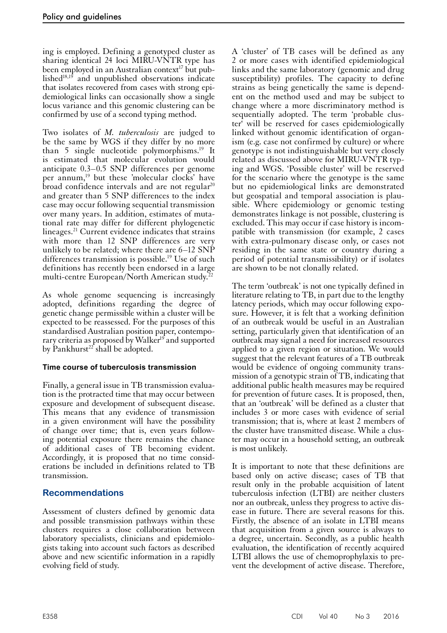ing is employed. Defining a genotyped cluster as sharing identical 24 loci MIRU-VNTR type has been employed in an Australian context<sup>17</sup> but published $18,19$  and unpublished observations indicate that isolates recovered from cases with strong epidemiological links can occasionally show a single locus variance and this genomic clustering can be confirmed by use of a second typing method.

Two isolates of *M. tuberculosis* are judged to be the same by WGS if they differ by no more than 5 single nucleotide polymorphisms.<sup>19</sup> It is estimated that molecular evolution would anticipate 0.3–0.5 SNP differences per genome per annum,<sup>19</sup> but these 'molecular clocks' have broad confidence intervals and are not regular $20$ and greater than 5 SNP differences to the index case may occur following sequential transmission over many years. In addition, estimates of mutational rate may differ for different phylogenetic lineages.21 Current evidence indicates that strains with more than 12 SNP differences are very unlikely to be related; where there are 6–12 SNP differences transmission is possible.19 Use of such definitions has recently been endorsed in a large multi-centre European/North American study.<sup>22</sup>

As whole genome sequencing is increasingly adopted, definitions regarding the degree of genetic change permissible within a cluster will be expected to be reassessed. For the purposes of this standardised Australian position paper, contemporary criteria as proposed by Walker<sup>19</sup> and supported by Pankhurst<sup>22</sup> shall be adopted.

## **Time course of tuberculosis transmission**

Finally, a general issue in TB transmission evaluation is the protracted time that may occur between exposure and development of subsequent disease. This means that any evidence of transmission in a given environment will have the possibility of change over time; that is, even years follow- ing potential exposure there remains the chance of additional cases of TB becoming evident. Accordingly, it is proposed that no time considerations be included in definitions related to TB transmission.

## **Recommendations**

Assessment of clusters defined by genomic data and possible transmission pathways within these clusters requires a close collaboration between laboratory specialists, clinicians and epidemiologists taking into account such factors as described above and new scientific information in a rapidly evolving field of study.

A 'cluster' of TB cases will be defined as any 2 or more cases with identified epidemiological links and the same laboratory (genomic and drug susceptibility) profiles. The capacity to define strains as being genetically the same is dependent on the method used and may be subject to change where a more discriminatory method is sequentially adopted. The term 'probable cluster' will be reserved for cases epidemiologically linked without genomic identification of organism (e.g. case not confirmed by culture) or where genotype is not indistinguishable but very closely related as discussed above for MIRU-VNTR typing and WGS. 'Possible cluster' will be reserved for the scenario where the genotype is the same but no epidemiological links are demonstrated but geospatial and temporal association is plausible. Where epidemiology or genomic testing demonstrates linkage is not possible, clustering is excluded. This may occur if case history is incompatible with transmission (for example, 2 cases with extra-pulmonary disease only, or cases not residing in the same state or country during a period of potential transmissibility) or if isolates are shown to be not clonally related.

The term 'outbreak' is not one typically defined in literature relating to TB, in part due to the lengthy latency periods, which may occur following exposure. However, it is felt that a working definition of an outbreak would be useful in an Australian setting, particularly given that identification of an outbreak may signal a need for increased resources applied to a given region or situation. We would suggest that the relevant features of a TB outbreak would be evidence of ongoing community trans- mission of a genotypic strain of TB, indicating that additional public health measures may be required for prevention of future cases. It is proposed, then, that an 'outbreak' will be defined as a cluster that includes 3 or more cases with evidence of serial transmission; that is, where at least 2 members of the cluster have transmitted disease. While a clus- ter may occur in a household setting, an outbreak is most unlikely.

It is important to note that these definitions are based only on active disease; cases of TB that result only in the probable acquisition of latent tuberculosis infection (LTBI) are neither clusters nor an outbreak, unless they progress to active dis- ease in future. There are several reasons for this. Firstly, the absence of an isolate in LTBI means that acquisition from a given source is always to a degree, uncertain. Secondly, as a public health evaluation, the identification of recently acquired LTBI allows the use of chemoprophylaxis to prevent the development of active disease. Therefore,